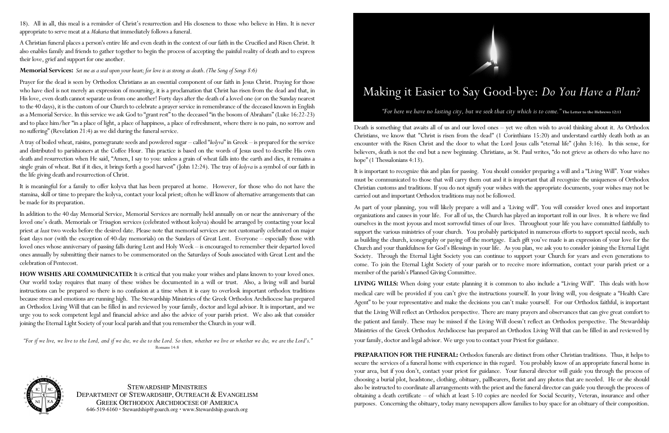18). All in all, this meal is a reminder of Christ's resurrection and His closeness to those who believe in Him. It is never appropriate to serve meat at a *Makaria* that immediately follows a funeral.

A Christian funeral places a person's entire life and even death in the context of our faith in the Crucified and Risen Christ. It also enables family and friends to gather together to begin the process of accepting the painful reality of death and to express their love, grief and support for one another.

## **Memorial Services:** *Set me as a seal upon your heart; for love is as strong as death*. *(The Song of Songs 8:6)*

Prayer for the dead is seen by Orthodox Christians as an essential component of our faith in Jesus Christ. Praying for those who have died is not merely an expression of mourning, it is a proclamation that Christ has risen from the dead and that, in His love, even death cannot separate us from one another! Forty days after the death of a loved one (or on the Sunday nearest to the 40 days), it is the custom of our Church to celebrate a prayer service in remembrance of the deceased known in English as a Memorial Service. In this service we ask God to "grant rest" to the deceased "in the bosom of Abraham" (Luke 16:22-23) and to place him/her "in a place of light, a place of happiness, a place of refreshment, where there is no pain, no sorrow and no suffering" (Revelation 21:4) as we did during the funeral service.

A tray of boiled wheat, raisins, pomegranate seeds and powdered sugar – called "*kolyva*" in Greek – is prepared for the service and distributed to parishioners at the Coffee Hour. This practice is based on the words of Jesus used to describe His own death and resurrection when He said, "Amen, I say to you: unless a grain of wheat falls into the earth and dies, it remains a single grain of wheat. But if it dies, it brings forth a good harvest" (John 12:24). The tray of *kolyva* is a symbol of our faith in the life giving death and resurrection of Christ.

> STEWARDSHIP MINISTRIESDepartment of Stewardship, Outreach & Evangelism GREEK ORTHODOX ARCHDIOCESE OF AMERICA646-519-6160 · Stewardship@goarch.org · www.Stewardship.goarch.org

It is meaningful for a family to offer kolyva that has been prepared at home. However, for those who do not have the stamina, skill or time to prepare the kolyva, contact your local priest; often he will know of alternative arrangements that can be made for its preparation.

Death is something that awaits all of us and our loved ones – yet we often wish to avoid thinking about it. As Orthodox Christians, we know that "Christ is risen from the dead" (1 Corinthians 15:20) and understand earthly death both as an encounter with the Risen Christ and the door to what the Lord Jesus calls "eternal life" (John 3:16). In this sense, for believers, death is not the end but a new beginning. Christians, as St. Paul writes, "do not grieve as others do who have no hope" (1 Thessalonians 4:13).

In addition to the 40 day Memorial Service, Memorial Services are normally held annually on or near the anniversary of the loved one's death. Memorials or Trisagion services (celebrated without kolyva) should be arranged by contacting your local priest *at least* two weeks before the desired date. Please note that memorial services are not customarily celebrated on major feast days nor (with the exception of 40-day memorials) on the Sundays of Great Lent. Everyone – especially those with loved ones whose anniversary of passing falls during Lent and Holy Week – is encouraged to remember their departed loved ones annually by submitting their names to be commemorated on the Saturdays of Souls associated with Great Lent and the celebration of Pentecost.

**HOW WISHES ARE COMMUNICATED:** It is critical that you make your wishes and plans known to your loved ones. Our world today requires that many of these wishes be documented in a will or trust. Also, a living will and burial instructions can be prepared so there is no confusion at a time when it is easy to overlook important orthodox traditions because stress and emotions are running high. The Stewardship Ministries of the Greek Orthodox Archdiocese has prepared an Orthodox Living Will that can be filled in and reviewed by your family, doctor and legal advisor. It is important, and we urge you to seek competent legal and financial advice and also the advice of your parish priest. We also ask that consider joining the Eternal Light Society of your local parish and that you remember the Church in your will.

 *"For if we live, we live to the Lord, and if we die, we die to the Lord. So then, whether we live or whether we die, we are the Lord's."*  Romans 14:8



## Making it Easier to Say Good-bye: *Do You Have a Plan?"For here we have no lasting city, but we seek that city which is to come."* **The Letter to the Hebrews 12:13**

It is important to recognize this and plan for passing. You should consider preparing a will and a "Living Will". Your wishes must be communicated to those that will carry them out and it is important that all recognize the uniqueness of Orthodox Christian customs and traditions. If you do not signify your wishes with the appropriate documents, your wishes may not be carried out and important Orthodox traditions may not be followed.

As part of your planning, you will likely prepare a will and a 'Living will". You will consider loved ones and important organizations and causes in your life. For all of us, the Church has played an important roll in our lives. It is where we find ourselves in the most joyous and most sorrowful times of our lives. Throughout your life you have committed faithfully to support the various ministries of your church. You probably participated in numerous efforts to support special needs, such as building the church, iconography or paying off the mortgage. Each gift you've made is an expression of your love for the Church and your thankfulness for God's Blessings in your life. As you plan, we ask you to consider joining the Eternal Light Society. Through the Eternal Light Society you can continue to support your Church for years and even generations to come. To join the Eternal Light Society of your parish or to receive more information, contact your parish priest or a member of the parish's Planned Giving Committee.

**LIVING WILLS:** When doing your estate planning it is common to also include a "Living Will". This deals with how medical care will be provided if you can't give the instructions yourself. In your living will, you designate a "Health Care Agent" to be your representative and make the decisions you can't make yourself. For our Orthodox faithful, is important that the Living Will reflect an Orthodox perspective. There are many prayers and observances that can give great comfort to the patient and family. These may be missed if the Living Will doesn't reflect an Orthodox perspective. The Stewardship Ministries of the Greek Orthodox Archdiocese has prepared an Orthodox Living Will that can be filled in and reviewed by your family, doctor and legal advisor. We urge you to contact your Priest for guidance.

**PREPARATION FOR THE FUNERAL:** Orthodox funerals are distinct from other Christian traditions. Thus, it helps to secure the services of a funeral home with experience in this regard. You probably know of an appropriate funeral home in your area, but if you don't, contact your priest for guidance. Your funeral director will guide you through the process of choosing a burial plot, headstone, clothing, obituary, pallbearers, florist and any photos that are needed. He or she should also be instructed to coordinate all arrangements with the priest and the funeral director can guide you through the process of obtaining a death certificate – of which at least 5-10 copies are needed for Social Security, Veteran, insurance and other purposes. Concerning the obituary, today many newspapers allow families to buy space for an obituary of their composition.